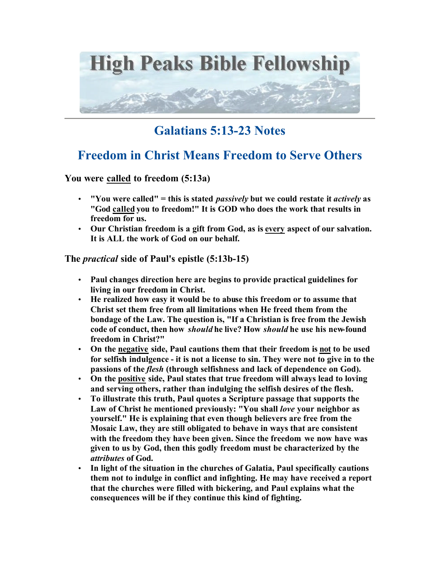

# **Galatians 5:13-23 Notes**

# **Freedom in Christ Means Freedom to Serve Others**

**You were called to freedom (5:13a)**

- **"You were called" = this is stated** *passively* **but we could restate it** *actively* **as "God called you to freedom!" It is GOD who does the work that results in freedom for us.**
- **Our Christian freedom is a gift from God, as is every aspect of our salvation. It is ALL the work of God on our behalf.**

# **The** *practical* **side of Paul's epistle (5:13b-15)**

- **Paul changes direction here are begins to provide practical guidelines for living in our freedom in Christ.**
- **He realized how easy it would be to abuse this freedom or to assume that Christ set them free from all limitations when He freed them from the bondage of the Law. The question is, "If a Christian is free from the Jewish code of conduct, then how** *should* **he live? How** *should* **he use his new-found freedom in Christ?"**
- **On the negative side, Paul cautions them that their freedom is not to be used for selfish indulgence - it is not a license to sin. They were not to give in to the passions of the** *flesh* **(through selfishness and lack of dependence on God).**
- **On the positive side, Paul states that true freedom will always lead to loving and serving others, rather than indulging the selfish desires of the flesh.**
- **To illustrate this truth, Paul quotes a Scripture passage that supports the Law of Christ he mentioned previously: "You shall** *love* **your neighbor as yourself." He is explaining that even though believers are free from the Mosaic Law, they are still obligated to behave in ways that are consistent with the freedom they have been given. Since the freedom we now have was given to us by God, then this godly freedom must be characterized by the**  *attributes* **of God.**
- **In light of the situation in the churches of Galatia, Paul specifically cautions them not to indulge in conflict and infighting. He may have received a report that the churches were filled with bickering, and Paul explains what the consequences will be if they continue this kind of fighting.**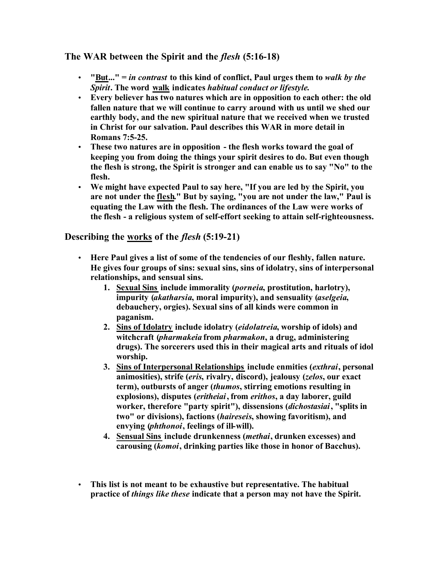# **The WAR between the Spirit and the** *flesh* **(5:16-18)**

- **"But..." =** *in contrast* **to this kind of conflict, Paul urges them to** *walk by the Spirit***. The word walk indicates** *habitual conduct or lifestyle***.**
- **Every believer has two natures which are in opposition to each other: the old fallen nature that we will continue to carry around with us until we shed our earthly body, and the new spiritual nature that we received when we trusted in Christ for our salvation. Paul describes this WAR in more detail in Romans 7:5-25.**
- **These two natures are in opposition the flesh works toward the goal of keeping you from doing the things your spirit desires to do. But even though the flesh is strong, the Spirit is stronger and can enable us to say "No" to the flesh.**
- **We might have expected Paul to say here, "If you are led by the Spirit, you are not under the flesh." But by saying, "you are not under the law," Paul is equating the Law with the flesh. The ordinances of the Law were works of the flesh - a religious system of self-effort seeking to attain self-righteousness.**

# **Describing the works of the** *flesh* **(5:19-21)**

- **Here Paul gives a list of some of the tendencies of our fleshly, fallen nature. He gives four groups of sins: sexual sins, sins of idolatry, sins of interpersonal relationships, and sensual sins.** 
	- **1. Sexual Sins include immorality (***porneia***, prostitution, harlotry), impurity (***akatharsia***, moral impurity), and sensuality (***aselgeia***, debauchery, orgies). Sexual sins of all kinds were common in paganism.**
	- **2. Sins of Idolatry include idolatry (***eidolatreia***, worship of idols) and witchcraft (***pharmakeia* **from** *pharmakon***, a drug, administering drugs). The sorcerers used this in their magical arts and rituals of idol worship.**
	- **3. Sins of Interpersonal Relationships include enmities (***exthrai***, personal animosities), strife (***eris***, rivalry, discord), jealousy (***zelos***, our exact term), outbursts of anger (***thumos***, stirring emotions resulting in explosions), disputes (***eritheiai***, from** *erithos***, a day laborer, guild worker, therefore "party spirit"), dissensions (***dichostasiai***, "splits in two" or divisions), factions (***haireseis***, showing favoritism), and envying (***phthonoi***, feelings of ill-will).**
	- **4. Sensual Sins include drunkenness (***methai***, drunken excesses) and carousing (***komoi***, drinking parties like those in honor of Bacchus).**
- **This list is not meant to be exhaustive but representative. The habitual practice of** *things like these* **indicate that a person may not have the Spirit.**